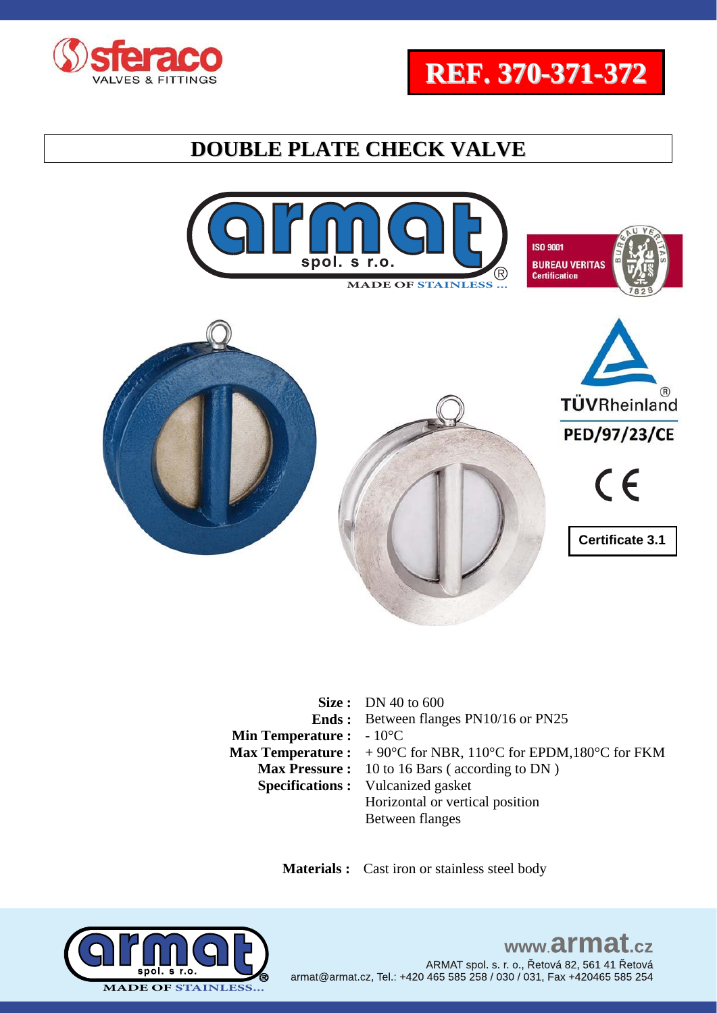





|                                          | Size: DN 40 to $600$                                                                                     |
|------------------------------------------|----------------------------------------------------------------------------------------------------------|
|                                          | <b>Ends:</b> Between flanges PN10/16 or PN25                                                             |
| <b>Min Temperature :</b> $-10^{\circ}$ C |                                                                                                          |
|                                          | <b>Max Temperature :</b> $+90^{\circ}$ C for NBR, 110 <sup>°</sup> C for EPDM,180 <sup>°</sup> C for FKM |
|                                          | <b>Max Pressure:</b> 10 to 16 Bars (according to DN)                                                     |
|                                          | <b>Specifications:</b> Vulcanized gasket                                                                 |
|                                          | Horizontal or vertical position                                                                          |
|                                          | Between flanges                                                                                          |

 **Materials :** Cast iron or stainless steel body

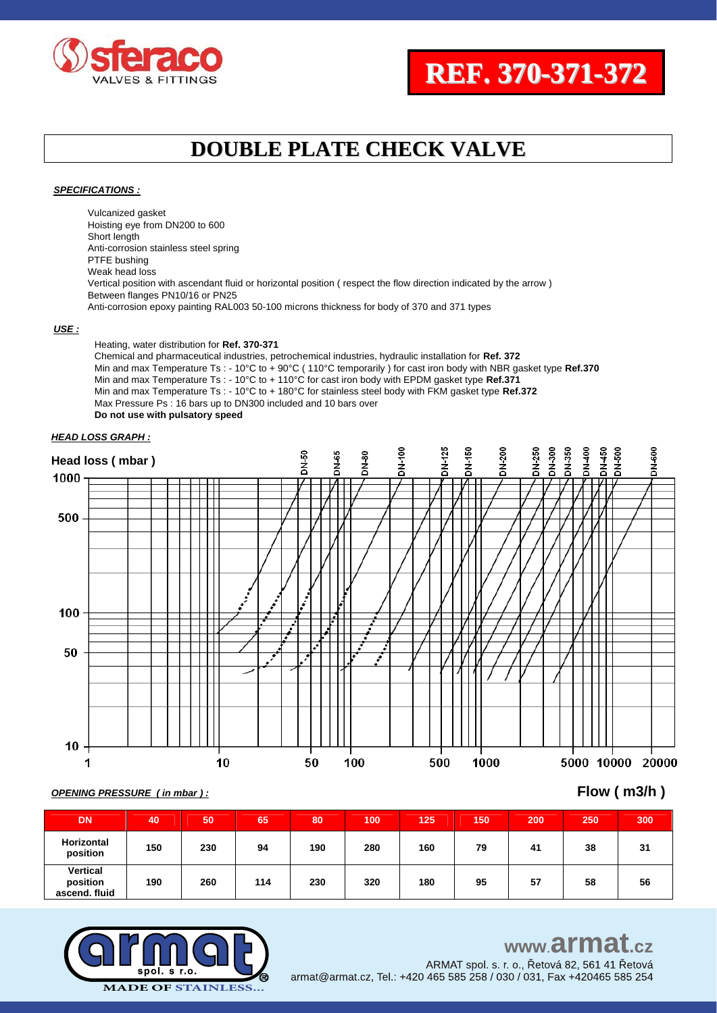



#### *SPECIFICATIONS :*

Vulcanized gasket Hoisting eye from DN200 to 600 Short length Anti-corrosion stainless steel spring PTFE bushing Weak head loss Vertical position with ascendant fluid or horizontal position ( respect the flow direction indicated by the arrow ) Between flanges PN10/16 or PN25 Anti-corrosion epoxy painting RAL003 50-100 microns thickness for body of 370 and 371 types

#### *USE :*

Heating, water distribution for **Ref. 370-371** Chemical and pharmaceutical industries, petrochemical industries, hydraulic installation for **Ref. 372** Min and max Temperature Ts : - 10°C to + 90°C ( 110°C temporarily ) for cast iron body with NBR gasket type **Ref.370** Min and max Temperature Ts : - 10°C to + 110°C for cast iron body with EPDM gasket type **Ref.371** Min and max Temperature Ts : - 10°C to + 180°C for stainless steel body with FKM gasket type **Ref.372** Max Pressure Ps : 16 bars up to DN300 included and 10 bars over **Do not use with pulsatory speed** 

#### *HEAD LOSS GRAPH :*



### *OPENING PRESSURE ( in mbar ) :* **Flow ( m3/h )**

| <b>DN</b>                             | 40  | 50  | 65  | 80  | 100 | 125 | 150 | 200 | 250 | 300 |
|---------------------------------------|-----|-----|-----|-----|-----|-----|-----|-----|-----|-----|
| Horizontal<br>position                | 150 | 230 | 94  | 190 | 280 | 160 | 79  | 41  | 38  | 31  |
| Vertical<br>position<br>ascend, fluid | 190 | 260 | 114 | 230 | 320 | 180 | 95  | 57  | 58  | 56  |



### www.armat.cz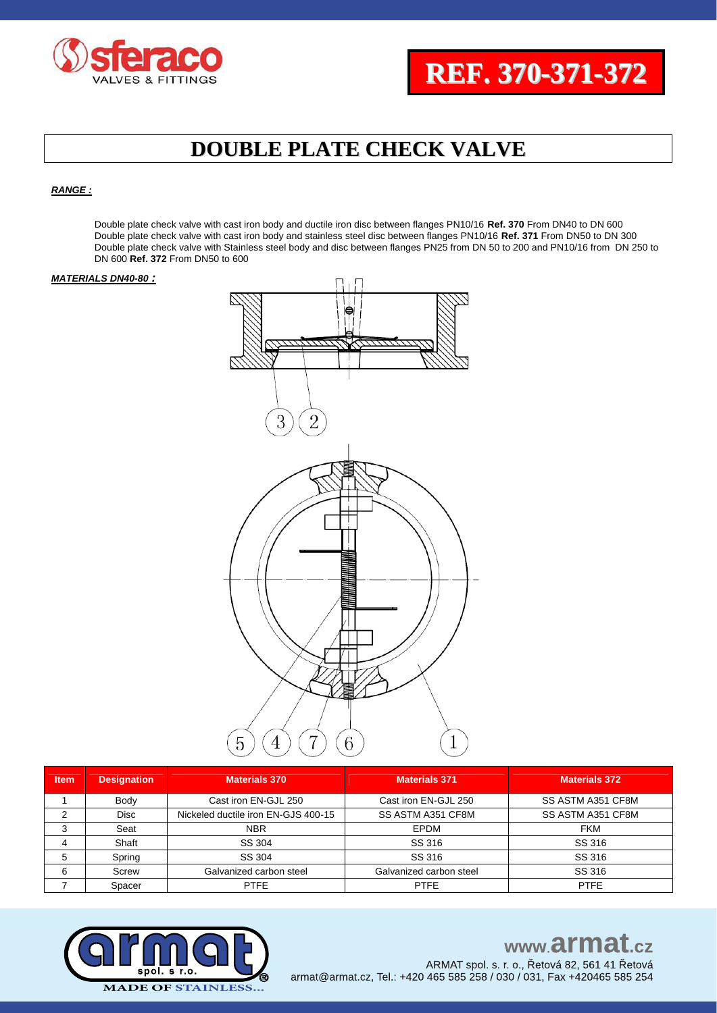

#### *RANGE :*

Double plate check valve with cast iron body and ductile iron disc between flanges PN10/16 **Ref. 370** From DN40 to DN 600 Double plate check valve with cast iron body and stainless steel disc between flanges PN10/16 **Ref. 371** From DN50 to DN 300 Double plate check valve with Stainless steel body and disc between flanges PN25 from DN 50 to 200 and PN10/16 from DN 250 to DN 600 **Ref. 372** From DN50 to 600

#### *MATERIALS DN40-80 :*



| <b>Item</b> | <b>Designation</b> | <b>Materials 370</b>                | <b>Materials 371</b>    | <b>Materials 372</b> |
|-------------|--------------------|-------------------------------------|-------------------------|----------------------|
|             | Body               | Cast iron EN-GJL 250                | Cast iron EN-GJL 250    | SS ASTM A351 CF8M    |
| 2           | <b>Disc</b>        | Nickeled ductile iron EN-GJS 400-15 | SS ASTM A351 CF8M       | SS ASTM A351 CF8M    |
| 3           | Seat               | <b>NBR</b>                          | EPDM                    | <b>FKM</b>           |
| 4           | Shaft              | SS 304                              | SS 316                  | SS 316               |
| 5           | Spring             | SS 304                              | SS 316                  | SS 316               |
| 6           | Screw              | Galvanized carbon steel             | Galvanized carbon steel | SS 316               |
|             | Spacer             | <b>PTFE</b>                         | <b>PTFE</b>             | <b>PTFE</b>          |



### www.armat.cz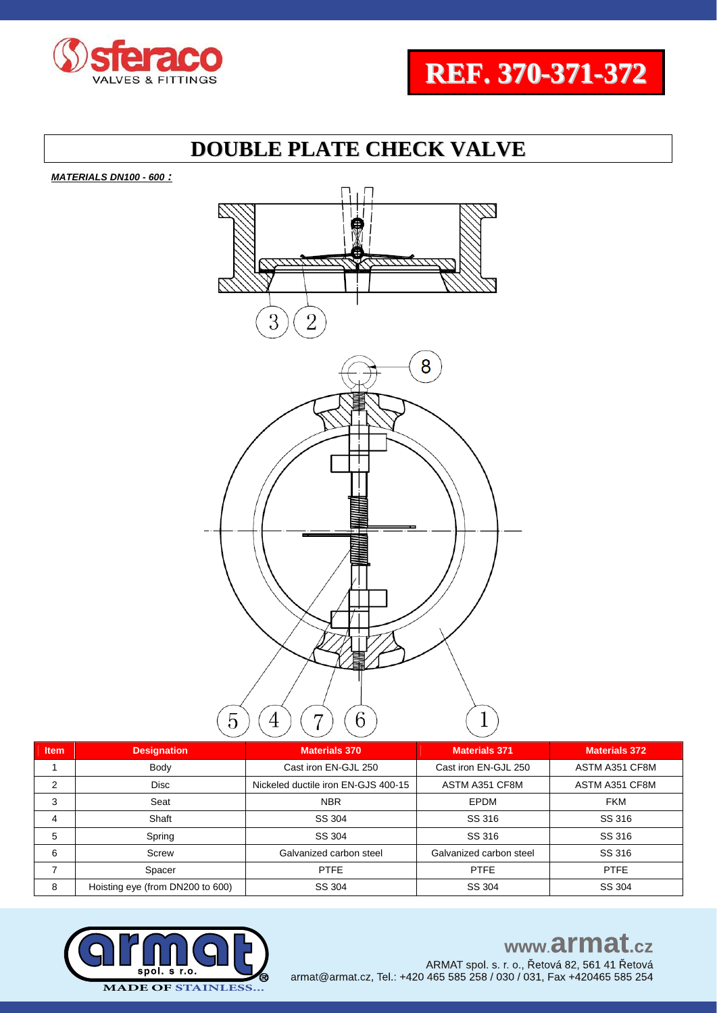



*MATERIALS DN100 - 600 :* 



| <b>Item</b>    | <b>Designation</b>               | <b>Materials 370</b>                | Materials 371           | <b>Materials 372</b> |
|----------------|----------------------------------|-------------------------------------|-------------------------|----------------------|
|                | Body                             | Cast iron EN-GJL 250                | Cast iron EN-GJL 250    | ASTM A351 CF8M       |
| 2              | <b>Disc</b>                      | Nickeled ductile iron EN-GJS 400-15 | ASTM A351 CF8M          | ASTM A351 CF8M       |
| 3              | Seat                             | <b>NBR</b>                          | <b>EPDM</b>             | <b>FKM</b>           |
| $\overline{4}$ | Shaft                            | SS 304                              | SS 316                  | SS 316               |
| 5              | Spring                           | SS 304                              | SS 316                  | SS 316               |
| 6              | Screw                            | Galvanized carbon steel             | Galvanized carbon steel | SS 316               |
|                | Spacer                           | <b>PTFE</b>                         | <b>PTFE</b>             | <b>PTFE</b>          |
| 8              | Hoisting eye (from DN200 to 600) | SS 304                              | SS 304                  | SS 304               |



### www.armat.cz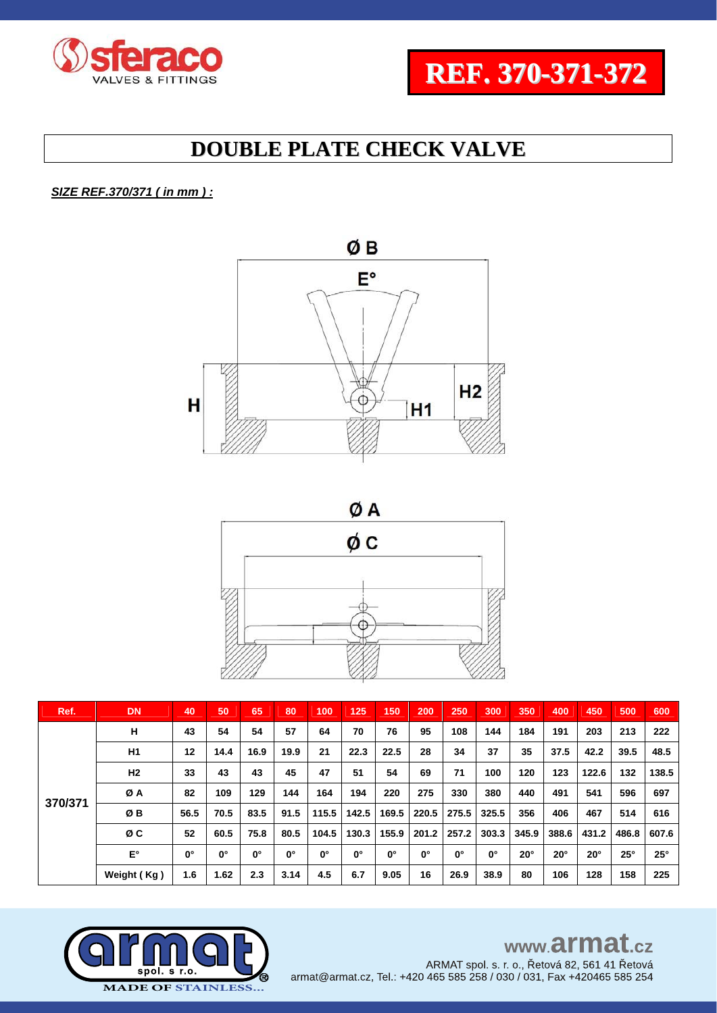



### *SIZE REF.370/371 ( in mm ) :*





| Ref.    | <b>DN</b>      | 40          | 50          | 65          | 80          | 100         | 125         | 150         | 200         | 250   | 300         | 350        | 400        | 450          | 500        | 600        |
|---------|----------------|-------------|-------------|-------------|-------------|-------------|-------------|-------------|-------------|-------|-------------|------------|------------|--------------|------------|------------|
|         | н              | 43          | 54          | 54          | 57          | 64          | 70          | 76          | 95          | 108   | 144         | 184        | 191        | 203          | 213        | 222        |
|         | H <sub>1</sub> | 12          | 14.4        | 16.9        | 19.9        | 21          | 22.3        | 22.5        | 28          | 34    | 37          | 35         | 37.5       | 42.2         | 39.5       | 48.5       |
| 370/371 | H2             | 33          | 43          | 43          | 45          | 47          | 51          | 54          | 69          | 71    | 100         | 120        | 123        | 122.6        | 132        | 138.5      |
|         | ØΑ             | 82          | 109         | 129         | 144         | 164         | 194         | 220         | 275         | 330   | 380         | 440        | 491        | 541          | 596        | 697        |
|         | ØB             | 56.5        | 70.5        | 83.5        | 91.5        | 115.5       | 142.5       | 169.5       | 220.5       | 275.5 | 325.5       | 356        | 406        | 467          | 514        | 616        |
|         | ØC             | 52          | 60.5        | 75.8        | 80.5        | 104.5       | 130.3       | 155.9       | 201.2       | 257.2 | 303.3       | 345.9      | 388.6      | 431.2        | 486.8      | 607.6      |
|         | E°             | $0^{\circ}$ | $0^{\circ}$ | $0^{\circ}$ | $0^{\circ}$ | $0^{\circ}$ | $0^{\circ}$ | $0^{\circ}$ | $0^{\circ}$ | 0°    | $0^{\circ}$ | $20^\circ$ | $20^\circ$ | $20^{\circ}$ | $25^\circ$ | $25^\circ$ |
|         | Weight (Kg)    | 1.6         | 1.62        | 2.3         | 3.14        | 4.5         | 6.7         | 9.05        | 16          | 26.9  | 38.9        | 80         | 106        | 128          | 158        | 225        |



# www.armat.cz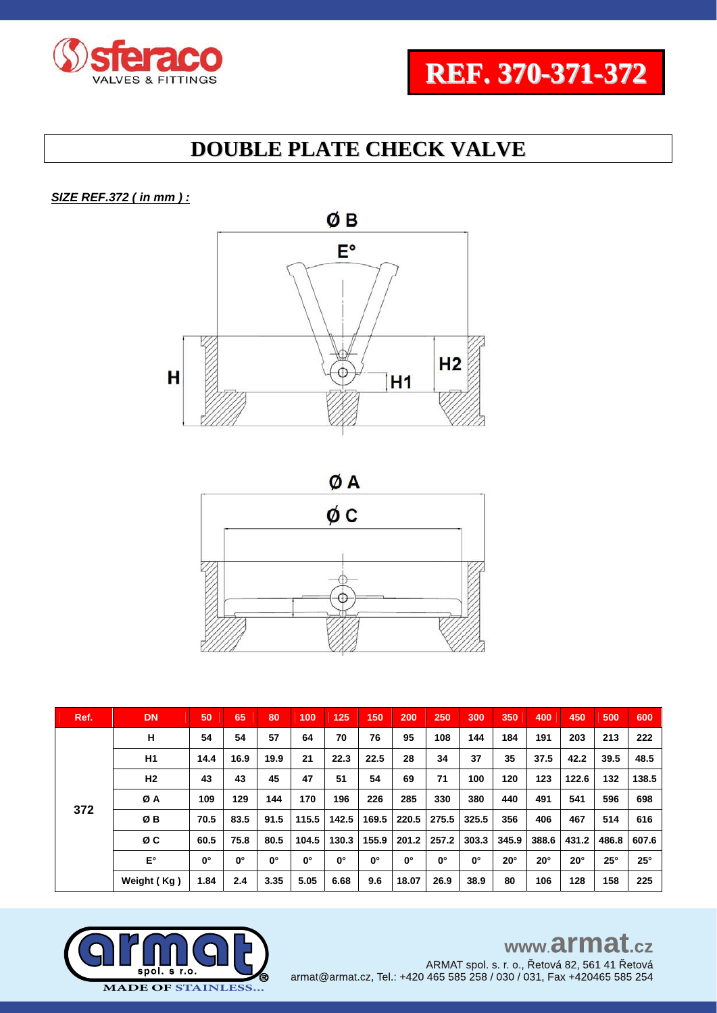



*SIZE REF.372 ( in mm ) :* 





| Ref. | <b>DN</b>      | 50          | 65          | 80          | 100         | 125         | 150         | 200         | 250         | 300         | 350          | 400          | 450          | 500        | 600        |
|------|----------------|-------------|-------------|-------------|-------------|-------------|-------------|-------------|-------------|-------------|--------------|--------------|--------------|------------|------------|
|      | н              | 54          | 54          | 57          | 64          | 70          | 76          | 95          | 108         | 144         | 184          | 191          | 203          | 213        | 222        |
|      | H1             | 14.4        | 16.9        | 19.9        | 21          | 22.3        | 22.5        | 28          | 34          | 37          | 35           | 37.5         | 42.2         | 39.5       | 48.5       |
| 372  | H <sub>2</sub> | 43          | 43          | 45          | 47          | 51          | 54          | 69          | 71          | 100         | 120          | 123          | 122.6        | 132        | 138.5      |
|      | ØΑ             | 109         | 129         | 144         | 170         | 196         | 226         | 285         | 330         | 380         | 440          | 491          | 541          | 596        | 698        |
|      | ØΒ             | 70.5        | 83.5        | 91.5        | 115.5       | 142.5       | 169.5       | 220.5       | 275.5       | 325.5       | 356          | 406          | 467          | 514        | 616        |
|      | øс             | 60.5        | 75.8        | 80.5        | 104.5       | 130.3       | 155.9       | 201.2       | 257.2       | 303.3       | 345.9        | 388.6        | 431.2        | 486.8      | 607.6      |
|      | E۰             | $0^{\circ}$ | $0^{\circ}$ | $0^{\circ}$ | $0^{\circ}$ | $0^{\circ}$ | $0^{\circ}$ | $0^{\circ}$ | $0^{\circ}$ | $0^{\circ}$ | $20^{\circ}$ | $20^{\circ}$ | $20^{\circ}$ | $25^\circ$ | $25^\circ$ |
|      | Weight (Kg)    | 1.84        | 2.4         | 3.35        | 5.05        | 6.68        | 9.6         | 18.07       | 26.9        | 38.9        | 80           | 106          | 128          | 158        | 225        |

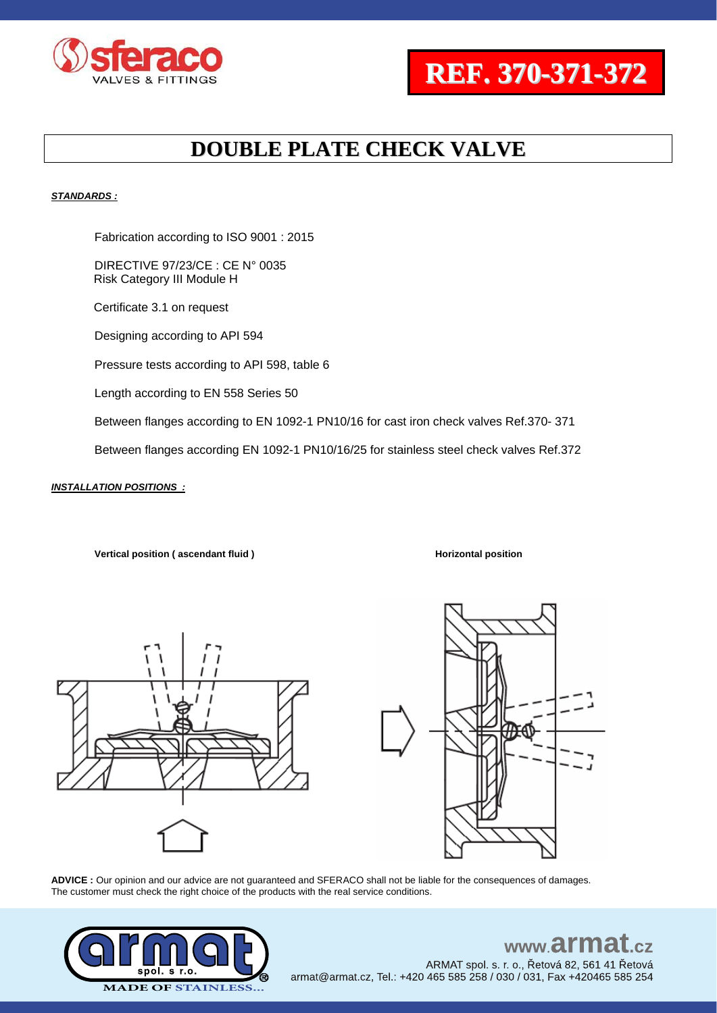



#### *STANDARDS :*

Fabrication according to ISO 9001 : 2015

DIRECTIVE 97/23/CE : CE N° 0035 Risk Category III Module H

Certificate 3.1 on request

Designing according to API 594

Pressure tests according to API 598, table 6

Length according to EN 558 Series 50

Between flanges according to EN 1092-1 PN10/16 for cast iron check valves Ref.370- 371

Between flanges according EN 1092-1 PN10/16/25 for stainless steel check valves Ref.372

#### *INSTALLATION POSITIONS :*

**Vertical position (ascendant fluid ) Horizontal position** 





**ADVICE :** Our opinion and our advice are not guaranteed and SFERACO shall not be liable for the consequences of damages. The customer must check the right choice of the products with the real service conditions.



### www.armat ARMAT spol. s. r. o., Řetová 82, 561 41 Řetová

armat@armat.cz, Tel.: +420 465 585 258 / 030 / 031, Fax +420465 585 254